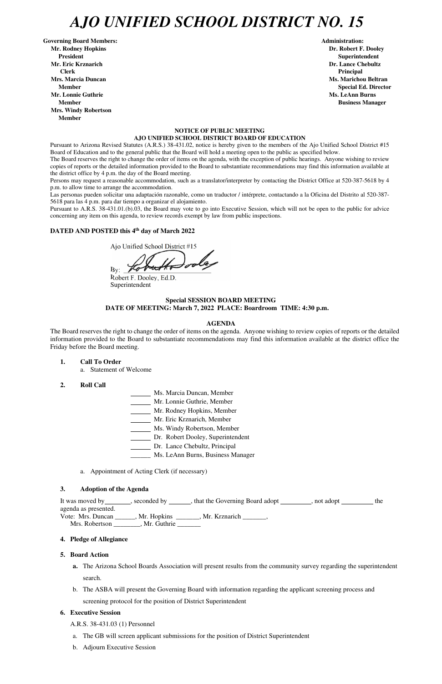# *AJO UNIFIED SCHOOL DISTRICT NO. 15*

Governing Board Members: **Administration: Administration: Administration: Mr. Rodney Hopkins Dr. Robert F. Dooley President Superintendent Mr. Eric Krznarich Dr. Lance Chebultz Clerk Principal Mrs. Marcia Duncan Ms. Marichou Beltran** *Ms. Marichou Beltran* **Ms. Marichou Beltran <b>Ms. Marichou Beltran Mr. Lonnie Guthrie Ms. LeAnn Burns**  $\mathbf{M}$ **s. LeAnn Burns**  $\mathbf{M}$ **s. LeAnn Burns**  $\mathbf{M}$ **s. LeAnn Burns**  $\mathbf{M}$ **s. LeAnn Burns**  $\mathbf{M}$ **s. LeAnn Burns**  $\mathbf{M}$ **s. LeAnn Burns**  $\mathbf{M}$ **s. Le** $\mathbf{M}$ **s. Le** $\mathbf{M}$ **s. Le** $\mathbf{M}$ **Member Business Manager Business Manager Business Manager Mrs. Windy Robertson Member** 

#### **NOTICE OF PUBLIC MEETING AJO UNIFIED SCHOOL DISTRICT BOARD OF EDUCATION**

Pursuant to Arizona Revised Statutes (A.R.S.) 38-431.02, notice is hereby given to the members of the Ajo Unified School District #15 Board of Education and to the general public that the Board will hold a meeting open to the public as specified below.

The Board reserves the right to change the order of items on the agenda, with the exception of public hearings. Anyone wishing to review copies of reports or the detailed information provided to the Board to substantiate recommendations may find this information available at the district office by 4 p.m. the day of the Board meeting.

Persons may request a reasonable accommodation, such as a translator/interpreter by contacting the District Office at 520-387-5618 by 4 p.m. to allow time to arrange the accommodation.

Las personas pueden solicitar una adaptación razonable, como un traductor / intérprete, contactando a la Oficina del Distrito al 520-387- 5618 para las 4 p.m. para dar tiempo a organizar el alojamiento.

agenda as presented. Vote: Mrs. Duncan \_\_\_\_\_\_, Mr. Hopkins \_\_\_\_\_\_\_, Mr. Krznarich \_\_\_\_\_\_\_, Mrs. Robertson \_\_\_\_\_\_\_\_, Mr. Guthrie \_\_\_\_\_\_\_

Pursuant to A.R.S. 38-431.01.(b).03, the Board may vote to go into Executive Session, which will not be open to the public for advice concerning any item on this agenda, to review records exempt by law from public inspections.

## **DATED AND POSTED this 4th day of March 2022**

Ajo Unified School District #15

By:  $\mathscr{I}$ 

Robert F. Dooley, Ed.D. Superintendent

#### **Special SESSION BOARD MEETING DATE OF MEETING: March 7, 2022 PLACE: Boardroom TIME: 4:30 p.m.**

#### **AGENDA**

The Board reserves the right to change the order of items on the agenda. Anyone wishing to review copies of reports or the detailed information provided to the Board to substantiate recommendations may find this information available at the district office the Friday before the Board meeting.

- **1. Call To Order** 
	- a. Statement of Welcome
- **2. Roll Call**
- Ms. Marcia Duncan, Member
- Mr. Lonnie Guthrie, Member
- Mr. Rodney Hopkins, Member
- Mr. Eric Krznarich, Member
- Ms. Windy Robertson, Member
- Dr. Robert Dooley, Superintendent
- Dr. Lance Chebultz, Principal
- \_\_\_\_\_\_ Ms. LeAnn Burns, Business Manager
- a. Appointment of Acting Clerk (if necessary)

#### **3. Adoption of the Agenda**

It was moved by \_\_\_\_\_\_\_, seconded by \_\_\_\_\_\_, that the Governing Board adopt \_\_\_\_\_\_\_\_, not adopt

**Member** Special Ed. Director **Special Ed. Director** 

#### **4. Pledge of Allegiance**

#### **5. Board Action**

- **a.** The Arizona School Boards Association will present results from the community survey regarding the superintendent search.
- b. The ASBA will present the Governing Board with information regarding the applicant screening process and screening protocol for the position of District Superintendent

### **6. Executive Session**

- A.R.S. 38-431.03 (1) Personnel
- a. The GB will screen applicant submissions for the position of District Superintendent
- b. Adjourn Executive Session